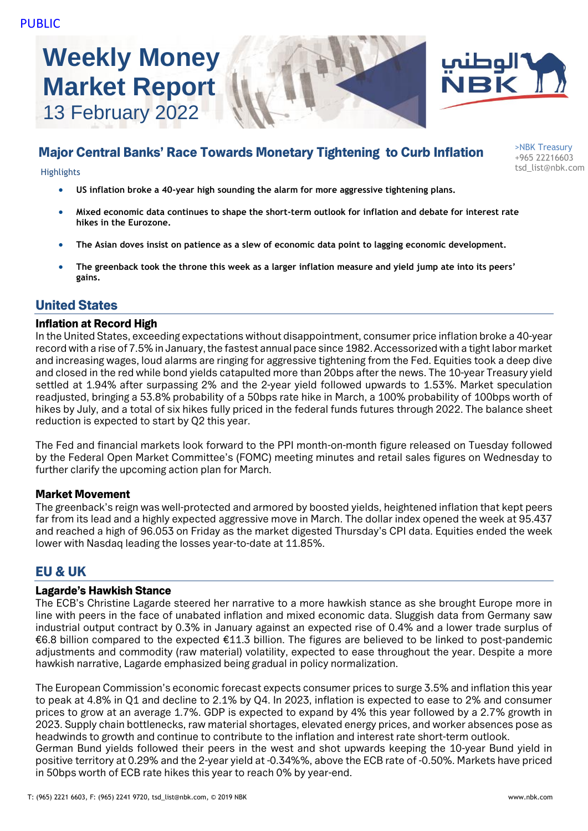# **Weekly Money Market Report** 13 February 2022





>NBK Treasury +965 22216603

## Major Central Banks' Race Towards Monetary Tightening to Curb Inflation

tsd\_list@nbk.com Highlights

- **US inflation broke a 40-year high sounding the alarm for more aggressive tightening plans.**
- **Mixed economic data continues to shape the short-term outlook for inflation and debate for interest rate hikes in the Eurozone.**
- **The Asian doves insist on patience as a slew of economic data point to lagging economic development.**
- **The greenback took the throne this week as a larger inflation measure and yield jump ate into its peers' gains.**

## United States

#### Inflation at Record High

In the United States, exceeding expectations without disappointment, consumer price inflation broke a 40-year record with a rise of 7.5% in January, the fastest annual pace since 1982. Accessorized with a tight labor market and increasing wages, loud alarms are ringing for aggressive tightening from the Fed. Equities took a deep dive and closed in the red while bond yields catapulted more than 20bps after the news. The 10-year Treasury yield settled at 1.94% after surpassing 2% and the 2-year yield followed upwards to 1.53%. Market speculation readjusted, bringing a 53.8% probability of a 50bps rate hike in March, a 100% probability of 100bps worth of hikes by July, and a total of six hikes fully priced in the federal funds futures through 2022. The balance sheet reduction is expected to start by Q2 this year.

The Fed and financial markets look forward to the PPI month-on-month figure released on Tuesday followed by the Federal Open Market Committee's (FOMC) meeting minutes and retail sales figures on Wednesday to further clarify the upcoming action plan for March.

#### Market Movement

The greenback's reign was well-protected and armored by boosted yields, heightened inflation that kept peers far from its lead and a highly expected aggressive move in March. The dollar index opened the week at 95.437 and reached a high of 96.053 on Friday as the market digested Thursday's CPI data. Equities ended the week lower with Nasdaq leading the losses year-to-date at 11.85%.

## EU & UK

#### Lagarde's Hawkish Stance

The ECB's Christine Lagarde steered her narrative to a more hawkish stance as she brought Europe more in line with peers in the face of unabated inflation and mixed economic data. Sluggish data from Germany saw industrial output contract by 0.3% in January against an expected rise of 0.4% and a lower trade surplus of €6.8 billion compared to the expected €11.3 billion. The figures are believed to be linked to post-pandemic adjustments and commodity (raw material) volatility, expected to ease throughout the year. Despite a more hawkish narrative, Lagarde emphasized being gradual in policy normalization.

The European Commission's economic forecast expects consumer prices to surge 3.5% and inflation this year to peak at 4.8% in Q1 and decline to 2.1% by Q4. In 2023, inflation is expected to ease to 2% and consumer prices to grow at an average 1.7%. GDP is expected to expand by 4% this year followed by a 2.7% growth in 2023. Supply chain bottlenecks, raw material shortages, elevated energy prices, and worker absences pose as headwinds to growth and continue to contribute to the inflation and interest rate short-term outlook. German Bund yields followed their peers in the west and shot upwards keeping the 10-year Bund yield in positive territory at 0.29% and the 2-year yield at -0.34%%, above the ECB rate of -0.50%. Markets have priced in 50bps worth of ECB rate hikes this year to reach 0% by year-end.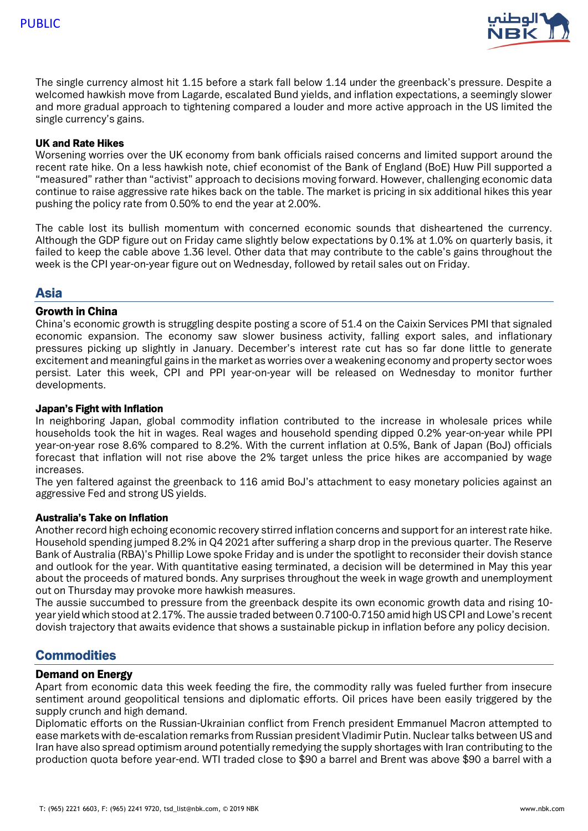

The single currency almost hit 1.15 before a stark fall below 1.14 under the greenback's pressure. Despite a welcomed hawkish move from Lagarde, escalated Bund yields, and inflation expectations, a seemingly slower and more gradual approach to tightening compared a louder and more active approach in the US limited the single currency's gains.

#### UK and Rate Hikes

Worsening worries over the UK economy from bank officials raised concerns and limited support around the recent rate hike. On a less hawkish note, chief economist of the Bank of England (BoE) Huw Pill supported a "measured" rather than "activist" approach to decisions moving forward. However, challenging economic data continue to raise aggressive rate hikes back on the table. The market is pricing in six additional hikes this year pushing the policy rate from 0.50% to end the year at 2.00%.

The cable lost its bullish momentum with concerned economic sounds that disheartened the currency. Although the GDP figure out on Friday came slightly below expectations by 0.1% at 1.0% on quarterly basis, it failed to keep the cable above 1.36 level. Other data that may contribute to the cable's gains throughout the week is the CPI year-on-year figure out on Wednesday, followed by retail sales out on Friday.

## Asia

#### Growth in China

China's economic growth is struggling despite posting a score of 51.4 on the Caixin Services PMI that signaled economic expansion. The economy saw slower business activity, falling export sales, and inflationary pressures picking up slightly in January. December's interest rate cut has so far done little to generate excitement and meaningful gains in the market as worries over a weakening economy and property sector woes persist. Later this week, CPI and PPI year-on-year will be released on Wednesday to monitor further developments.

#### Japan's Fight with Inflation

In neighboring Japan, global commodity inflation contributed to the increase in wholesale prices while households took the hit in wages. Real wages and household spending dipped 0.2% year-on-year while PPI year-on-year rose 8.6% compared to 8.2%. With the current inflation at 0.5%, Bank of Japan (BoJ) officials forecast that inflation will not rise above the 2% target unless the price hikes are accompanied by wage increases.

The yen faltered against the greenback to 116 amid BoJ's attachment to easy monetary policies against an aggressive Fed and strong US yields.

#### Australia's Take on Inflation

Another record high echoing economic recovery stirred inflation concerns and support for an interest rate hike. Household spending jumped 8.2% in Q4 2021 after suffering a sharp drop in the previous quarter. The Reserve Bank of Australia (RBA)'s Phillip Lowe spoke Friday and is under the spotlight to reconsider their dovish stance and outlook for the year. With quantitative easing terminated, a decision will be determined in May this year about the proceeds of matured bonds. Any surprises throughout the week in wage growth and unemployment out on Thursday may provoke more hawkish measures.

The aussie succumbed to pressure from the greenback despite its own economic growth data and rising 10 year yield which stood at 2.17%. The aussie traded between 0.7100-0.7150 amid high US CPI and Lowe's recent dovish trajectory that awaits evidence that shows a sustainable pickup in inflation before any policy decision.

## **Commodities**

#### Demand on Energy

Apart from economic data this week feeding the fire, the commodity rally was fueled further from insecure sentiment around geopolitical tensions and diplomatic efforts. Oil prices have been easily triggered by the supply crunch and high demand.

Diplomatic efforts on the Russian-Ukrainian conflict from French president Emmanuel Macron attempted to ease markets with de-escalation remarks from Russian president Vladimir Putin. Nuclear talks between US and Iran have also spread optimism around potentially remedying the supply shortages with Iran contributing to the production quota before year-end. WTI traded close to \$90 a barrel and Brent was above \$90 a barrel with a